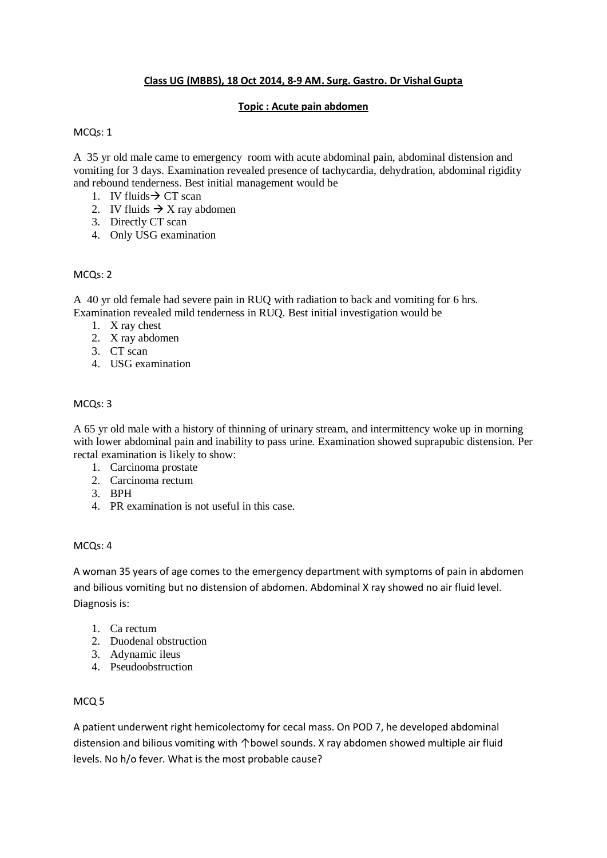# **Class UG (MBBS), 18 Oct 2014, 8-9 AM. Surg. Gastro. Dr Vishal Gupta**

#### **Topic : Acute pain abdomen**

## MCQs: 1

A 35 yr old male came to emergency room with acute abdominal pain, abdominal distension and vomiting for 3 days. Examination revealed presence of tachycardia, dehydration, abdominal rigidity and rebound tenderness. Best initial management would be

- 1. IV fluids  $\rightarrow$  CT scan
- 2. IV fluids  $\rightarrow X$  ray abdomen
- 3. Directly CT scan
- 4. Only USG examination

#### MCQs: 2

A 40 yr old female had severe pain in RUQ with radiation to back and vomiting for 6 hrs. Examination revealed mild tenderness in RUQ. Best initial investigation would be

- 1. X ray chest
- 2. X ray abdomen
- 3. CT scan
- 4. USG examination

## MCQs: 3

A 65 yr old male with a history of thinning of urinary stream, and intermittency woke up in morning with lower abdominal pain and inability to pass urine. Examination showed suprapubic distension. Per rectal examination is likely to show:

- 1. Carcinoma prostate
- 2. Carcinoma rectum
- 3. BPH
- 4. PR examination is not useful in this case.

#### MCQs: 4

A woman 35 years of age comes to the emergency department with symptoms of pain in abdomen and bilious vomiting but no distension of abdomen. Abdominal X ray showed no air fluid level. Diagnosis is:

- 1. Ca rectum
- 2. Duodenal obstruction
- 3. Adynamic ileus
- 4. Pseudoobstruction

#### MCQ 5

A patient underwent right hemicolectomy for cecal mass. On POD 7, he developed abdominal distension and bilious vomiting with ↑bowel sounds. X ray abdomen showed multiple air fluid levels. No h/o fever. What is the most probable cause?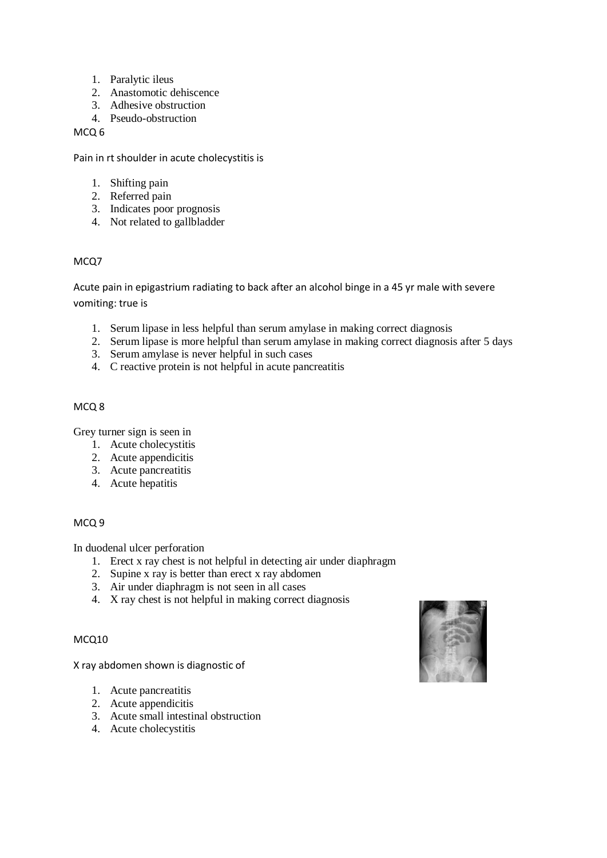- 1. Paralytic ileus
- 2. Anastomotic dehiscence
- 3. Adhesive obstruction
- 4. Pseudo-obstruction

MCQ 6

Pain in rt shoulder in acute cholecystitis is

- 1. Shifting pain
- 2. Referred pain
- 3. Indicates poor prognosis
- 4. Not related to gallbladder

# MCQ7

Acute pain in epigastrium radiating to back after an alcohol binge in a 45 yr male with severe vomiting: true is

- 1. Serum lipase in less helpful than serum amylase in making correct diagnosis
- 2. Serum lipase is more helpful than serum amylase in making correct diagnosis after 5 days
- 3. Serum amylase is never helpful in such cases
- 4. C reactive protein is not helpful in acute pancreatitis

## MCQ 8

Grey turner sign is seen in

- 1. Acute cholecystitis
- 2. Acute appendicitis
- 3. Acute pancreatitis
- 4. Acute hepatitis

#### MCQ 9

#### In duodenal ulcer perforation

- 1. Erect x ray chest is not helpful in detecting air under diaphragm
- 2. Supine x ray is better than erect x ray abdomen
- 3. Air under diaphragm is not seen in all cases
- 4. X ray chest is not helpful in making correct diagnosis

#### MCQ10

X ray abdomen shown is diagnostic of

- 1. Acute pancreatitis
- 2. Acute appendicitis
- 3. Acute small intestinal obstruction
- 4. Acute cholecystitis